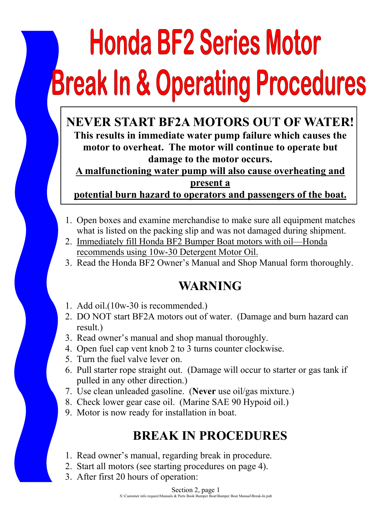# **Honda BF2 Series Motor Break In & Operating Procedures**

**NEVER START BF2A MOTORS OUT OF WATER! This results in immediate water pump failure which causes the motor to overheat. The motor will continue to operate but damage to the motor occurs.** 

**A malfunctioning water pump will also cause overheating and present a** 

**potential burn hazard to operators and passengers of the boat.**

- 1. Open boxes and examine merchandise to make sure all equipment matches what is listed on the packing slip and was not damaged during shipment.
- 2. Immediately fill Honda BF2 Bumper Boat motors with oil—Honda recommends using 10w-30 Detergent Motor Oil.
- 3. Read the Honda BF2 Owner's Manual and Shop Manual form thoroughly.

## **WARNING**

- 1. Add oil.(10w-30 is recommended.)
- 2. DO NOT start BF2A motors out of water. (Damage and burn hazard can result.)
- 3. Read owner's manual and shop manual thoroughly.
- 4. Open fuel cap vent knob 2 to 3 turns counter clockwise.
- 5. Turn the fuel valve lever on.
- 6. Pull starter rope straight out. (Damage will occur to starter or gas tank if pulled in any other direction.)
- 7. Use clean unleaded gasoline. (**Never** use oil/gas mixture.)
- 8. Check lower gear case oil. (Marine SAE 90 Hypoid oil.)
- 9. Motor is now ready for installation in boat.

# **BREAK IN PROCEDURES**

- 1. Read owner's manual, regarding break in procedure.
- 2. Start all motors (see starting procedures on page 4).
- 3. After first 20 hours of operation: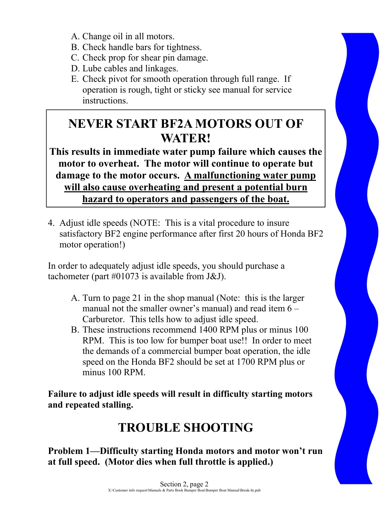- A. Change oil in all motors.
- B. Check handle bars for tightness.
- C. Check prop for shear pin damage.
- D. Lube cables and linkages.
- E. Check pivot for smooth operation through full range. If operation is rough, tight or sticky see manual for service instructions.

# **NEVER START BF2A MOTORS OUT OF WATER!**

**This results in immediate water pump failure which causes the motor to overheat. The motor will continue to operate but damage to the motor occurs. A malfunctioning water pump will also cause overheating and present a potential burn hazard to operators and passengers of the boat.** 

4. Adjust idle speeds (NOTE: This is a vital procedure to insure satisfactory BF2 engine performance after first 20 hours of Honda BF2 motor operation!)

In order to adequately adjust idle speeds, you should purchase a tachometer (part #01073 is available from J&J).

- A. Turn to page 21 in the shop manual (Note: this is the larger manual not the smaller owner's manual) and read item 6 – Carburetor. This tells how to adjust idle speed.
- B. These instructions recommend 1400 RPM plus or minus 100 RPM. This is too low for bumper boat use!! In order to meet the demands of a commercial bumper boat operation, the idle speed on the Honda BF2 should be set at 1700 RPM plus or minus 100 RPM.

**Failure to adjust idle speeds will result in difficulty starting motors and repeated stalling.**

# **TROUBLE SHOOTING**

**Problem 1—Difficulty starting Honda motors and motor won't run at full speed. (Motor dies when full throttle is applied.)** 

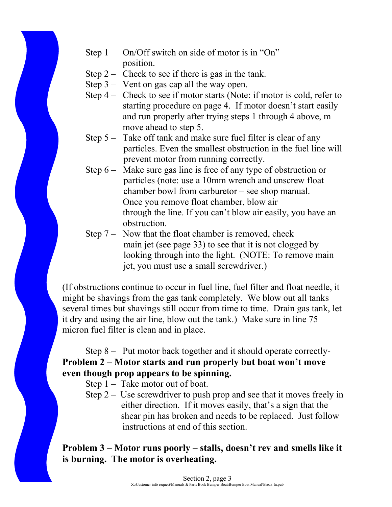- Step 1 On/Off switch on side of motor is in "On" position.
- Step  $2 -$  Check to see if there is gas in the tank.
- Step 3 Vent on gas cap all the way open.
- Step 4 Check to see if motor starts (Note: if motor is cold, refer to starting procedure on page 4. If motor doesn't start easily and run properly after trying steps 1 through 4 above, m move ahead to step 5.
- Step 5 Take off tank and make sure fuel filter is clear of any particles. Even the smallest obstruction in the fuel line will prevent motor from running correctly.
- Step 6 Make sure gas line is free of any type of obstruction or particles (note: use a 10mm wrench and unscrew float chamber bowl from carburetor – see shop manual. Once you remove float chamber, blow air through the line. If you can't blow air easily, you have an obstruction.
- Step 7 Now that the float chamber is removed, check main jet (see page 33) to see that it is not clogged by looking through into the light. (NOTE: To remove main jet, you must use a small screwdriver.)

(If obstructions continue to occur in fuel line, fuel filter and float needle, it might be shavings from the gas tank completely. We blow out all tanks several times but shavings still occur from time to time. Drain gas tank, let it dry and using the air line, blow out the tank.) Make sure in line 75 micron fuel filter is clean and in place.

#### Step 8 – Put motor back together and it should operate correctly-**Problem 2 – Motor starts and run properly but boat won't move even though prop appears to be spinning.**

- Step 1 Take motor out of boat.
- Step  $2 -$  Use screwdriver to push prop and see that it moves freely in either direction. If it moves easily, that's a sign that the shear pin has broken and needs to be replaced. Just follow instructions at end of this section.

#### **Problem 3 – Motor runs poorly – stalls, doesn't rev and smells like it is burning. The motor is overheating.**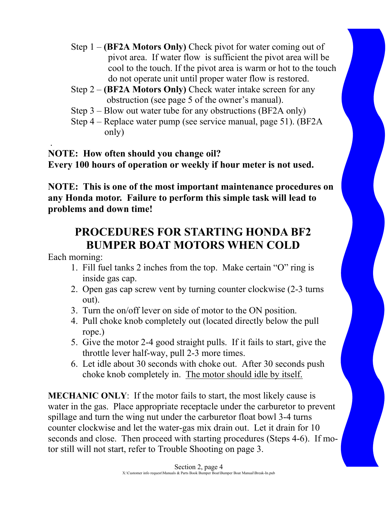- Step 1 **(BF2A Motors Only)** Check pivot for water coming out of pivot area. If water flow is sufficient the pivot area will be cool to the touch. If the pivot area is warm or hot to the touch do not operate unit until proper water flow is restored.
- Step 2 **(BF2A Motors Only)** Check water intake screen for any obstruction (see page 5 of the owner's manual).
- Step 3 Blow out water tube for any obstructions (BF2A only)
- Step 4 Replace water pump (see service manual, page 51). (BF2A only)

 . **NOTE: How often should you change oil? Every 100 hours of operation or weekly if hour meter is not used.** 

**NOTE: This is one of the most important maintenance procedures on any Honda motor. Failure to perform this simple task will lead to problems and down time!** 

## **PROCEDURES FOR STARTING HONDA BF2 BUMPER BOAT MOTORS WHEN COLD**

Each morning:

- 1. Fill fuel tanks 2 inches from the top. Make certain "O" ring is inside gas cap.
- 2. Open gas cap screw vent by turning counter clockwise (2-3 turns out).
- 3. Turn the on/off lever on side of motor to the ON position.
- 4. Pull choke knob completely out (located directly below the pull rope.)
- 5. Give the motor 2-4 good straight pulls. If it fails to start, give the throttle lever half-way, pull 2-3 more times.
- 6. Let idle about 30 seconds with choke out. After 30 seconds push choke knob completely in. The motor should idle by itself.

**MECHANIC ONLY**: If the motor fails to start, the most likely cause is water in the gas. Place appropriate receptacle under the carburetor to prevent spillage and turn the wing nut under the carburetor float bowl 3-4 turns counter clockwise and let the water-gas mix drain out. Let it drain for 10 seconds and close. Then proceed with starting procedures (Steps 4-6). If motor still will not start, refer to Trouble Shooting on page 3.